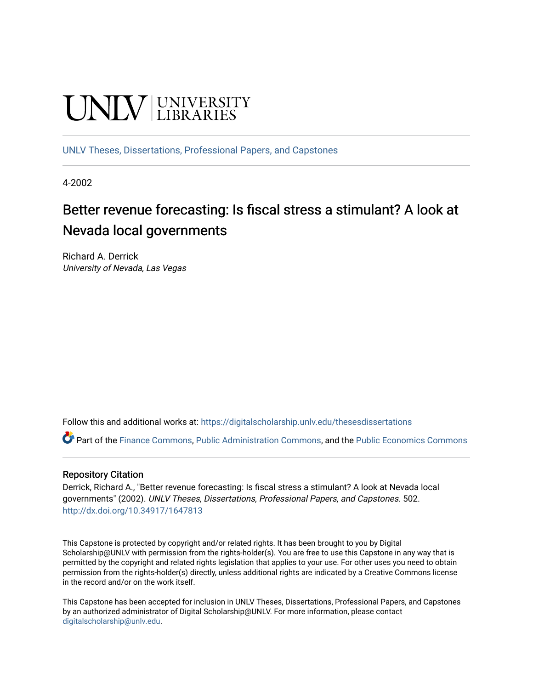# **UNIVERSITY**

[UNLV Theses, Dissertations, Professional Papers, and Capstones](https://digitalscholarship.unlv.edu/thesesdissertations)

4-2002

# Better revenue forecasting: Is fiscal stress a stimulant? A look at Nevada local governments

Richard A. Derrick University of Nevada, Las Vegas

Follow this and additional works at: [https://digitalscholarship.unlv.edu/thesesdissertations](https://digitalscholarship.unlv.edu/thesesdissertations?utm_source=digitalscholarship.unlv.edu%2Fthesesdissertations%2F502&utm_medium=PDF&utm_campaign=PDFCoverPages)

Part of the [Finance Commons,](http://network.bepress.com/hgg/discipline/345?utm_source=digitalscholarship.unlv.edu%2Fthesesdissertations%2F502&utm_medium=PDF&utm_campaign=PDFCoverPages) [Public Administration Commons](http://network.bepress.com/hgg/discipline/398?utm_source=digitalscholarship.unlv.edu%2Fthesesdissertations%2F502&utm_medium=PDF&utm_campaign=PDFCoverPages), and the [Public Economics Commons](http://network.bepress.com/hgg/discipline/351?utm_source=digitalscholarship.unlv.edu%2Fthesesdissertations%2F502&utm_medium=PDF&utm_campaign=PDFCoverPages) 

#### Repository Citation

Derrick, Richard A., "Better revenue forecasting: Is fiscal stress a stimulant? A look at Nevada local governments" (2002). UNLV Theses, Dissertations, Professional Papers, and Capstones. 502. <http://dx.doi.org/10.34917/1647813>

This Capstone is protected by copyright and/or related rights. It has been brought to you by Digital Scholarship@UNLV with permission from the rights-holder(s). You are free to use this Capstone in any way that is permitted by the copyright and related rights legislation that applies to your use. For other uses you need to obtain permission from the rights-holder(s) directly, unless additional rights are indicated by a Creative Commons license in the record and/or on the work itself.

This Capstone has been accepted for inclusion in UNLV Theses, Dissertations, Professional Papers, and Capstones by an authorized administrator of Digital Scholarship@UNLV. For more information, please contact [digitalscholarship@unlv.edu](mailto:digitalscholarship@unlv.edu).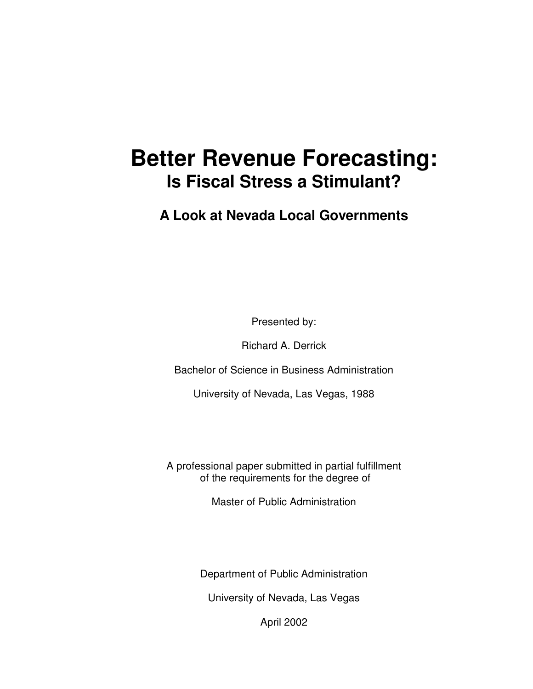# **Better Revenue Forecasting: Is Fiscal Stress a Stimulant?**

**A Look at Nevada Local Governments** 

Presented by:

Richard A. Derrick

Bachelor of Science in Business Administration

University of Nevada, Las Vegas, 1988

A professional paper submitted in partial fulfillment of the requirements for the degree of

Master of Public Administration

Department of Public Administration

University of Nevada, Las Vegas

April 2002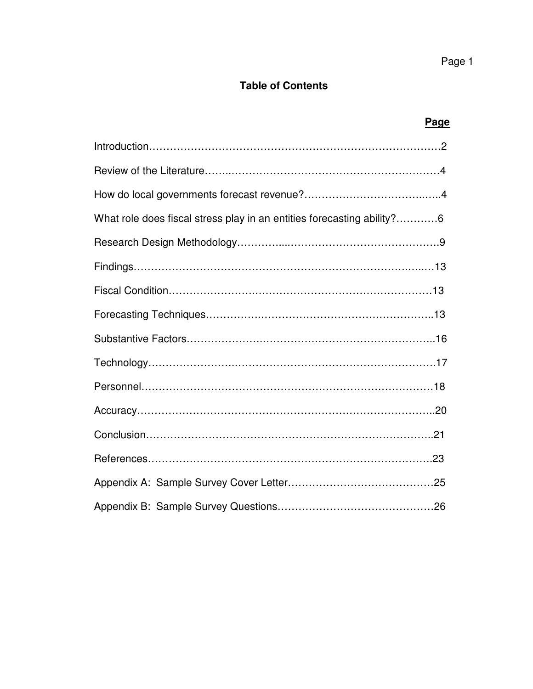# **Table of Contents**

| <b>Page</b>                                                            |  |
|------------------------------------------------------------------------|--|
|                                                                        |  |
|                                                                        |  |
|                                                                        |  |
| What role does fiscal stress play in an entities forecasting ability?6 |  |
|                                                                        |  |
|                                                                        |  |
|                                                                        |  |
|                                                                        |  |
|                                                                        |  |
|                                                                        |  |
|                                                                        |  |
|                                                                        |  |
|                                                                        |  |
|                                                                        |  |
|                                                                        |  |
|                                                                        |  |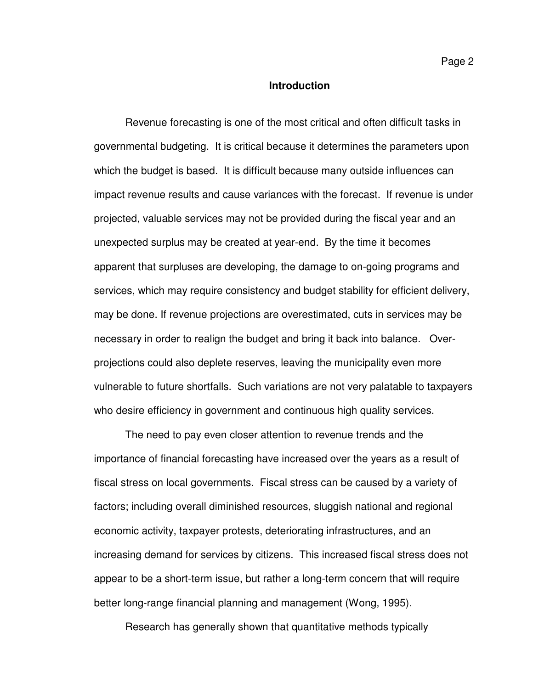## **Introduction**

Revenue forecasting is one of the most critical and often difficult tasks in governmental budgeting. It is critical because it determines the parameters upon which the budget is based. It is difficult because many outside influences can impact revenue results and cause variances with the forecast. If revenue is under projected, valuable services may not be provided during the fiscal year and an unexpected surplus may be created at year-end. By the time it becomes apparent that surpluses are developing, the damage to on-going programs and services, which may require consistency and budget stability for efficient delivery, may be done. If revenue projections are overestimated, cuts in services may be necessary in order to realign the budget and bring it back into balance. Overprojections could also deplete reserves, leaving the municipality even more vulnerable to future shortfalls. Such variations are not very palatable to taxpayers who desire efficiency in government and continuous high quality services.

The need to pay even closer attention to revenue trends and the importance of financial forecasting have increased over the years as a result of fiscal stress on local governments. Fiscal stress can be caused by a variety of factors; including overall diminished resources, sluggish national and regional economic activity, taxpayer protests, deteriorating infrastructures, and an increasing demand for services by citizens. This increased fiscal stress does not appear to be a short-term issue, but rather a long-term concern that will require better long-range financial planning and management (Wong, 1995).

Research has generally shown that quantitative methods typically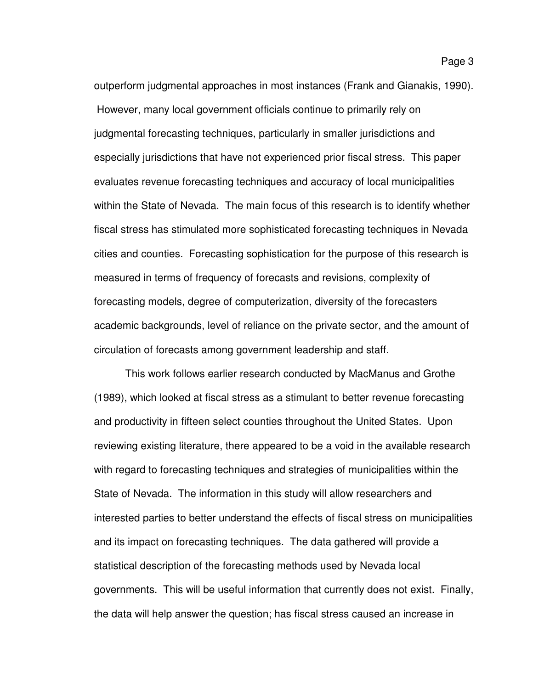outperform judgmental approaches in most instances (Frank and Gianakis, 1990). However, many local government officials continue to primarily rely on judgmental forecasting techniques, particularly in smaller jurisdictions and especially jurisdictions that have not experienced prior fiscal stress. This paper evaluates revenue forecasting techniques and accuracy of local municipalities within the State of Nevada. The main focus of this research is to identify whether fiscal stress has stimulated more sophisticated forecasting techniques in Nevada cities and counties. Forecasting sophistication for the purpose of this research is measured in terms of frequency of forecasts and revisions, complexity of forecasting models, degree of computerization, diversity of the forecasters academic backgrounds, level of reliance on the private sector, and the amount of circulation of forecasts among government leadership and staff.

This work follows earlier research conducted by MacManus and Grothe (1989), which looked at fiscal stress as a stimulant to better revenue forecasting and productivity in fifteen select counties throughout the United States. Upon reviewing existing literature, there appeared to be a void in the available research with regard to forecasting techniques and strategies of municipalities within the State of Nevada. The information in this study will allow researchers and interested parties to better understand the effects of fiscal stress on municipalities and its impact on forecasting techniques. The data gathered will provide a statistical description of the forecasting methods used by Nevada local governments. This will be useful information that currently does not exist. Finally, the data will help answer the question; has fiscal stress caused an increase in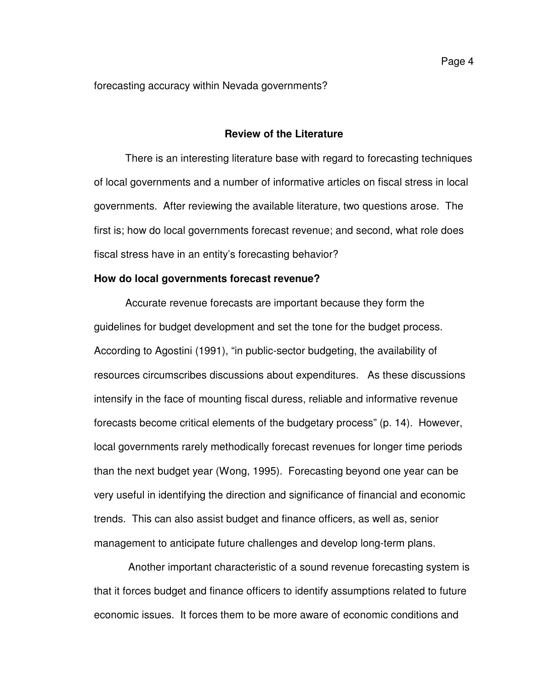forecasting accuracy within Nevada governments?

## **Review of the Literature**

 There is an interesting literature base with regard to forecasting techniques of local governments and a number of informative articles on fiscal stress in local governments. After reviewing the available literature, two questions arose. The first is; how do local governments forecast revenue; and second, what role does fiscal stress have in an entity's forecasting behavior?

#### **How do local governments forecast revenue?**

Accurate revenue forecasts are important because they form the guidelines for budget development and set the tone for the budget process. According to Agostini (1991), "in public-sector budgeting, the availability of resources circumscribes discussions about expenditures. As these discussions intensify in the face of mounting fiscal duress, reliable and informative revenue forecasts become critical elements of the budgetary process" (p. 14). However, local governments rarely methodically forecast revenues for longer time periods than the next budget year (Wong, 1995). Forecasting beyond one year can be very useful in identifying the direction and significance of financial and economic trends. This can also assist budget and finance officers, as well as, senior management to anticipate future challenges and develop long-term plans.

 Another important characteristic of a sound revenue forecasting system is that it forces budget and finance officers to identify assumptions related to future economic issues. It forces them to be more aware of economic conditions and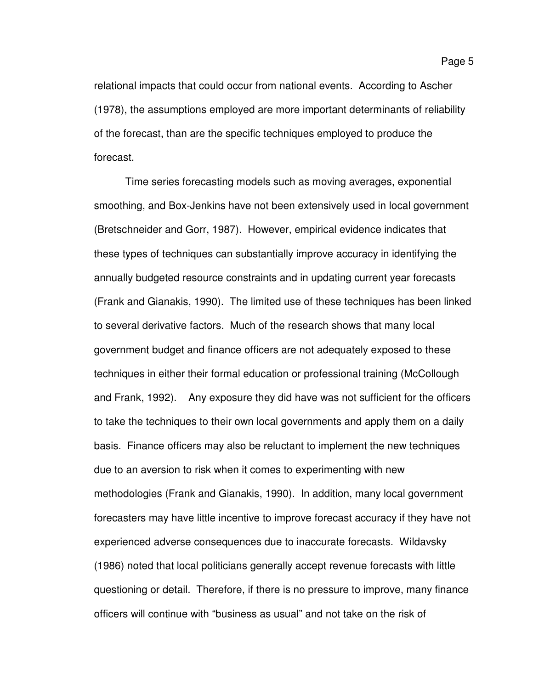relational impacts that could occur from national events. According to Ascher (1978), the assumptions employed are more important determinants of reliability of the forecast, than are the specific techniques employed to produce the forecast.

Time series forecasting models such as moving averages, exponential smoothing, and Box-Jenkins have not been extensively used in local government (Bretschneider and Gorr, 1987). However, empirical evidence indicates that these types of techniques can substantially improve accuracy in identifying the annually budgeted resource constraints and in updating current year forecasts (Frank and Gianakis, 1990). The limited use of these techniques has been linked to several derivative factors. Much of the research shows that many local government budget and finance officers are not adequately exposed to these techniques in either their formal education or professional training (McCollough and Frank, 1992). Any exposure they did have was not sufficient for the officers to take the techniques to their own local governments and apply them on a daily basis. Finance officers may also be reluctant to implement the new techniques due to an aversion to risk when it comes to experimenting with new methodologies (Frank and Gianakis, 1990). In addition, many local government forecasters may have little incentive to improve forecast accuracy if they have not experienced adverse consequences due to inaccurate forecasts. Wildavsky (1986) noted that local politicians generally accept revenue forecasts with little questioning or detail. Therefore, if there is no pressure to improve, many finance officers will continue with "business as usual" and not take on the risk of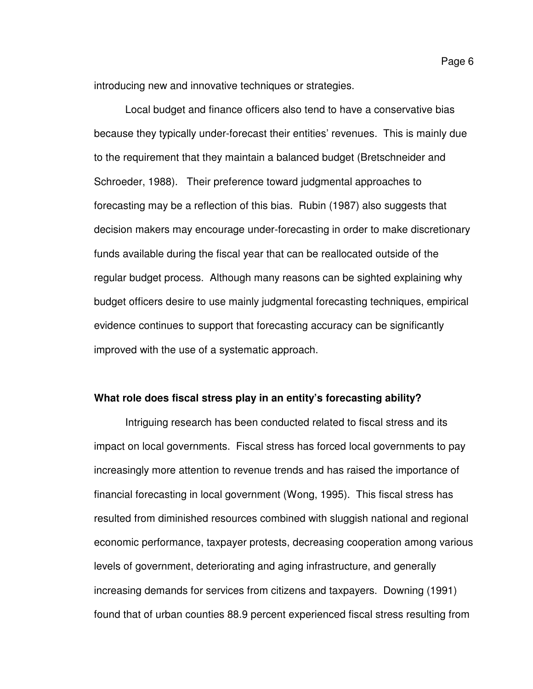introducing new and innovative techniques or strategies.

Local budget and finance officers also tend to have a conservative bias because they typically under-forecast their entities' revenues. This is mainly due to the requirement that they maintain a balanced budget (Bretschneider and Schroeder, 1988). Their preference toward judgmental approaches to forecasting may be a reflection of this bias. Rubin (1987) also suggests that decision makers may encourage under-forecasting in order to make discretionary funds available during the fiscal year that can be reallocated outside of the regular budget process. Although many reasons can be sighted explaining why budget officers desire to use mainly judgmental forecasting techniques, empirical evidence continues to support that forecasting accuracy can be significantly improved with the use of a systematic approach.

# **What role does fiscal stress play in an entity's forecasting ability?**

Intriguing research has been conducted related to fiscal stress and its impact on local governments. Fiscal stress has forced local governments to pay increasingly more attention to revenue trends and has raised the importance of financial forecasting in local government (Wong, 1995). This fiscal stress has resulted from diminished resources combined with sluggish national and regional economic performance, taxpayer protests, decreasing cooperation among various levels of government, deteriorating and aging infrastructure, and generally increasing demands for services from citizens and taxpayers. Downing (1991) found that of urban counties 88.9 percent experienced fiscal stress resulting from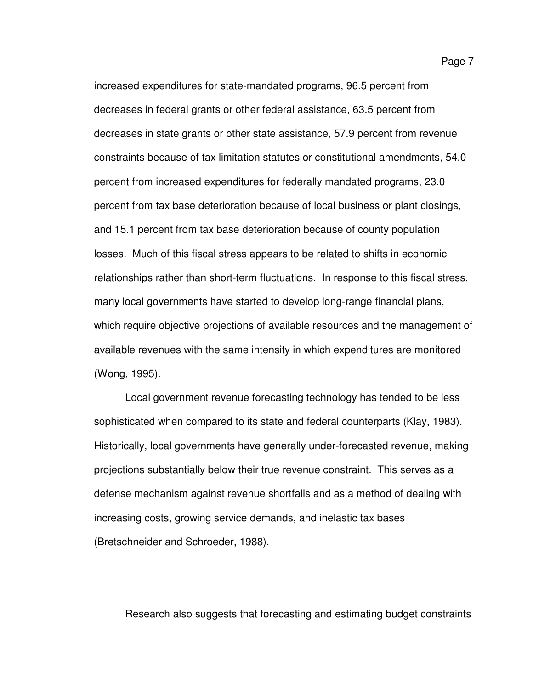increased expenditures for state-mandated programs, 96.5 percent from decreases in federal grants or other federal assistance, 63.5 percent from decreases in state grants or other state assistance, 57.9 percent from revenue constraints because of tax limitation statutes or constitutional amendments, 54.0 percent from increased expenditures for federally mandated programs, 23.0 percent from tax base deterioration because of local business or plant closings, and 15.1 percent from tax base deterioration because of county population losses. Much of this fiscal stress appears to be related to shifts in economic relationships rather than short-term fluctuations. In response to this fiscal stress, many local governments have started to develop long-range financial plans, which require objective projections of available resources and the management of available revenues with the same intensity in which expenditures are monitored (Wong, 1995).

 Local government revenue forecasting technology has tended to be less sophisticated when compared to its state and federal counterparts (Klay, 1983). Historically, local governments have generally under-forecasted revenue, making projections substantially below their true revenue constraint. This serves as a defense mechanism against revenue shortfalls and as a method of dealing with increasing costs, growing service demands, and inelastic tax bases (Bretschneider and Schroeder, 1988).

Research also suggests that forecasting and estimating budget constraints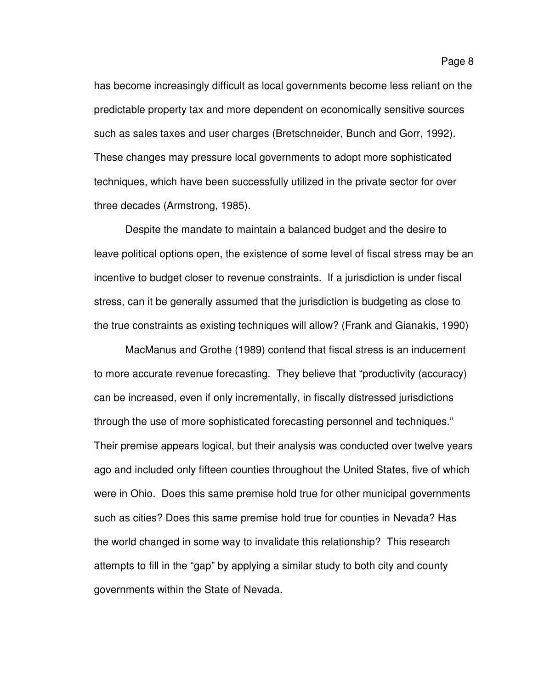has become increasingly difficult as local governments become less reliant on the predictable property tax and more dependent on economically sensitive sources such as sales taxes and user charges (Bretschneider, Bunch and Gorr, 1992). These changes may pressure local governments to adopt more sophisticated techniques, which have been successfully utilized in the private sector for over three decades (Armstrong, 1985).

Despite the mandate to maintain a balanced budget and the desire to leave political options open, the existence of some level of fiscal stress may be an incentive to budget closer to revenue constraints. If a jurisdiction is under fiscal stress, can it be generally assumed that the jurisdiction is budgeting as close to the true constraints as existing techniques will allow? (Frank and Gianakis, 1990)

 MacManus and Grothe (1989) contend that fiscal stress is an inducement to more accurate revenue forecasting. They believe that "productivity (accuracy) can be increased, even if only incrementally, in fiscally distressed jurisdictions through the use of more sophisticated forecasting personnel and techniques." Their premise appears logical, but their analysis was conducted over twelve years ago and included only fifteen counties throughout the United States, five of which were in Ohio. Does this same premise hold true for other municipal governments such as cities? Does this same premise hold true for counties in Nevada? Has the world changed in some way to invalidate this relationship? This research attempts to fill in the "gap" by applying a similar study to both city and county governments within the State of Nevada.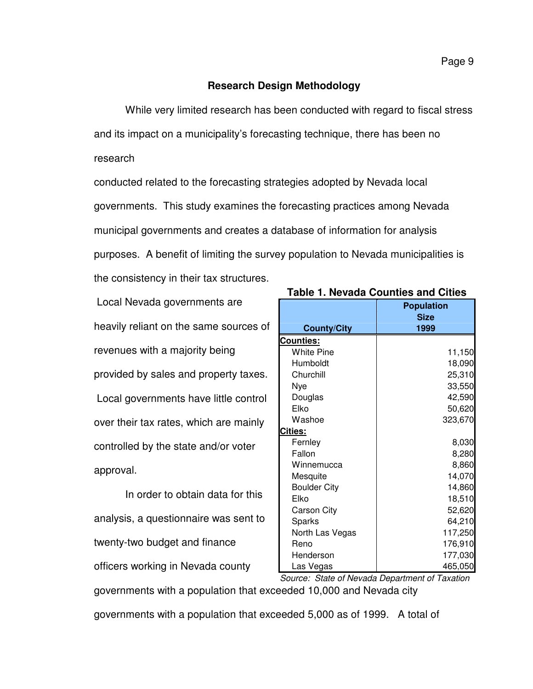# **Research Design Methodology**

While very limited research has been conducted with regard to fiscal stress and its impact on a municipality's forecasting technique, there has been no research

conducted related to the forecasting strategies adopted by Nevada local governments. This study examines the forecasting practices among Nevada municipal governments and creates a database of information for analysis purposes. A benefit of limiting the survey population to Nevada municipalities is the consistency in their tax structures.

| Local Nevada governments are           |
|----------------------------------------|
| heavily reliant on the same sources of |
| revenues with a majority being         |
| provided by sales and property taxes.  |
| Local governments have little control  |
| over their tax rates, which are mainly |
| controlled by the state and/or voter   |
| approval.                              |

In order to obtain data for this analysis, a questionnaire was sent to twenty-two budget and finance officers working in Nevada county

| Table 1. Nevada Countles and Cities |                                          |  |
|-------------------------------------|------------------------------------------|--|
| <b>County/City</b>                  | <b>Population</b><br><b>Size</b><br>1999 |  |
| Counties:                           |                                          |  |
| <b>White Pine</b>                   | 11,150                                   |  |
| Humboldt                            | 18,090                                   |  |
| Churchill                           | 25,310                                   |  |
| Nye                                 | 33,550                                   |  |
| Douglas                             | 42,590                                   |  |
| Elko                                | 50,620                                   |  |
| Washoe                              | 323,670                                  |  |
| <b>Cities:</b>                      |                                          |  |
| Fernley                             | 8,030                                    |  |
| Fallon                              | 8,280                                    |  |
| Winnemucca                          | 8,860                                    |  |
| Mesquite                            | 14,070                                   |  |
| <b>Boulder City</b>                 | 14,860                                   |  |
| Elko                                | 18,510                                   |  |
| <b>Carson City</b>                  | 52,620                                   |  |
| Sparks                              | 64,210                                   |  |
| North Las Vegas                     | 117,250                                  |  |
| Reno                                | 176,910                                  |  |
| Henderson                           | 177,030                                  |  |
| Las Vegas                           | 465,050<br>$\epsilon$ $\tau$             |  |

**Table 1. Nevada Counties and Cities** 

governments with a population that exceeded 10,000 and Nevada city Source: State of Nevada Department of Taxation

governments with a population that exceeded 5,000 as of 1999. A total of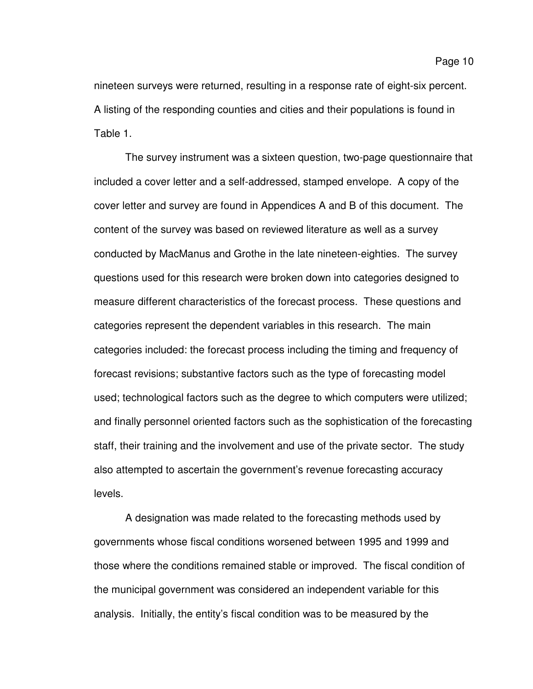The survey instrument was a sixteen question, two-page questionnaire that included a cover letter and a self-addressed, stamped envelope. A copy of the cover letter and survey are found in Appendices A and B of this document. The content of the survey was based on reviewed literature as well as a survey conducted by MacManus and Grothe in the late nineteen-eighties. The survey questions used for this research were broken down into categories designed to measure different characteristics of the forecast process. These questions and categories represent the dependent variables in this research. The main categories included: the forecast process including the timing and frequency of forecast revisions; substantive factors such as the type of forecasting model used; technological factors such as the degree to which computers were utilized; and finally personnel oriented factors such as the sophistication of the forecasting staff, their training and the involvement and use of the private sector. The study also attempted to ascertain the government's revenue forecasting accuracy levels.

A designation was made related to the forecasting methods used by governments whose fiscal conditions worsened between 1995 and 1999 and those where the conditions remained stable or improved. The fiscal condition of the municipal government was considered an independent variable for this analysis. Initially, the entity's fiscal condition was to be measured by the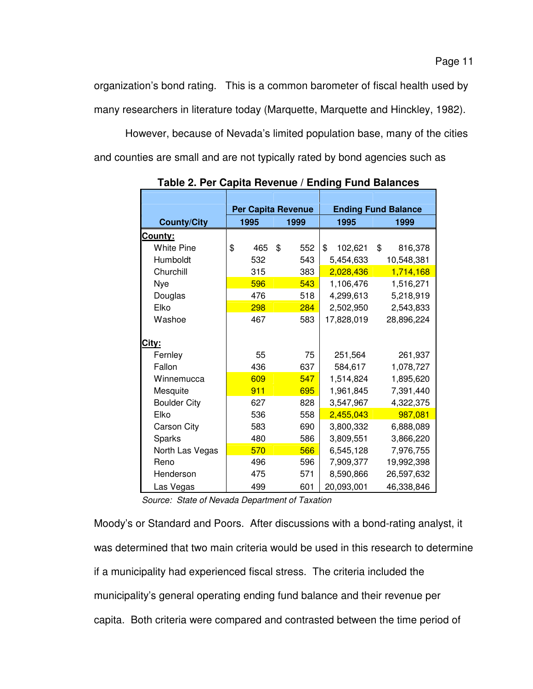organization's bond rating. This is a common barometer of fiscal health used by many researchers in literature today (Marquette, Marquette and Hinckley, 1982).

However, because of Nevada's limited population base, many of the cities and counties are small and are not typically rated by bond agencies such as

|                     | <b>Per Capita Revenue</b> |           |               | <b>Ending Fund Balance</b> |  |
|---------------------|---------------------------|-----------|---------------|----------------------------|--|
| <b>County/City</b>  | 1995<br>1999              |           | 1995          | 1999                       |  |
| <u>County:</u>      |                           |           |               |                            |  |
| <b>White Pine</b>   | \$<br>465                 | 552<br>\$ | \$<br>102,621 | \$<br>816,378              |  |
| Humboldt            | 532                       | 543       | 5,454,633     | 10,548,381                 |  |
| Churchill           | 315                       | 383       | 2,028,436     | 1,714,168                  |  |
| Nye                 | 596                       | 543       | 1,106,476     | 1,516,271                  |  |
| Douglas             | 476                       | 518       | 4,299,613     | 5,218,919                  |  |
| Elko                | 298                       | 284       | 2,502,950     | 2,543,833                  |  |
| Washoe              | 467                       | 583       | 17,828,019    | 28,896,224                 |  |
|                     |                           |           |               |                            |  |
| <u>City:</u>        |                           |           |               |                            |  |
| Fernley             | 55                        | 75        | 251,564       | 261,937                    |  |
| Fallon              | 436                       | 637       | 584,617       | 1,078,727                  |  |
| Winnemucca          | 609                       | 547       | 1,514,824     | 1,895,620                  |  |
| Mesquite            | 911                       | 695       | 1,961,845     | 7,391,440                  |  |
| <b>Boulder City</b> | 627                       | 828       | 3,547,967     | 4,322,375                  |  |
| Elko                | 536                       | 558       | 2,455,043     | 987,081                    |  |
| <b>Carson City</b>  | 583                       | 690       | 3,800,332     | 6,888,089                  |  |
| Sparks              | 480                       | 586       | 3,809,551     | 3,866,220                  |  |
| North Las Vegas     | 570                       | 566       | 6,545,128     | 7,976,755                  |  |
| Reno                | 496                       | 596       | 7,909,377     | 19,992,398                 |  |
| Henderson           | 475                       | 571       | 8,590,866     | 26,597,632                 |  |
| Las Vegas           | 499                       | 601       | 20,093,001    | 46,338,846                 |  |

**Table 2. Per Capita Revenue / Ending Fund Balances** 

Source: State of Nevada Department of Taxation

Moody's or Standard and Poors. After discussions with a bond-rating analyst, it was determined that two main criteria would be used in this research to determine if a municipality had experienced fiscal stress. The criteria included the municipality's general operating ending fund balance and their revenue per capita. Both criteria were compared and contrasted between the time period of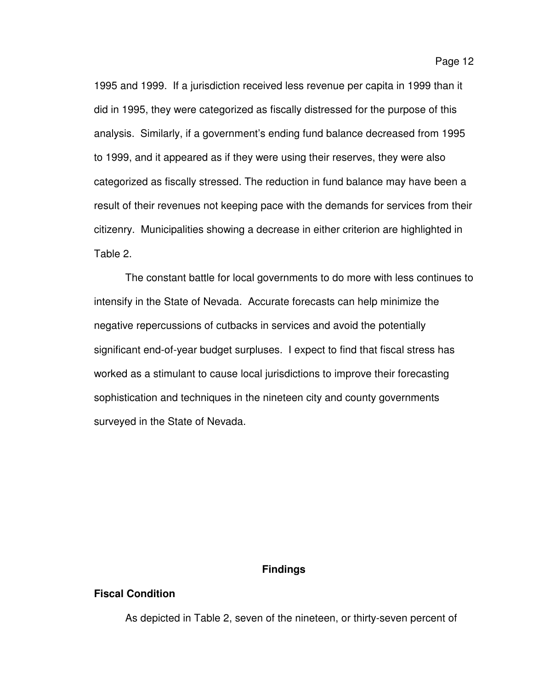1995 and 1999. If a jurisdiction received less revenue per capita in 1999 than it did in 1995, they were categorized as fiscally distressed for the purpose of this analysis. Similarly, if a government's ending fund balance decreased from 1995 to 1999, and it appeared as if they were using their reserves, they were also categorized as fiscally stressed. The reduction in fund balance may have been a result of their revenues not keeping pace with the demands for services from their citizenry. Municipalities showing a decrease in either criterion are highlighted in Table 2.

The constant battle for local governments to do more with less continues to intensify in the State of Nevada. Accurate forecasts can help minimize the negative repercussions of cutbacks in services and avoid the potentially significant end-of-year budget surpluses. I expect to find that fiscal stress has worked as a stimulant to cause local jurisdictions to improve their forecasting sophistication and techniques in the nineteen city and county governments surveyed in the State of Nevada.

## **Findings**

# **Fiscal Condition**

As depicted in Table 2, seven of the nineteen, or thirty-seven percent of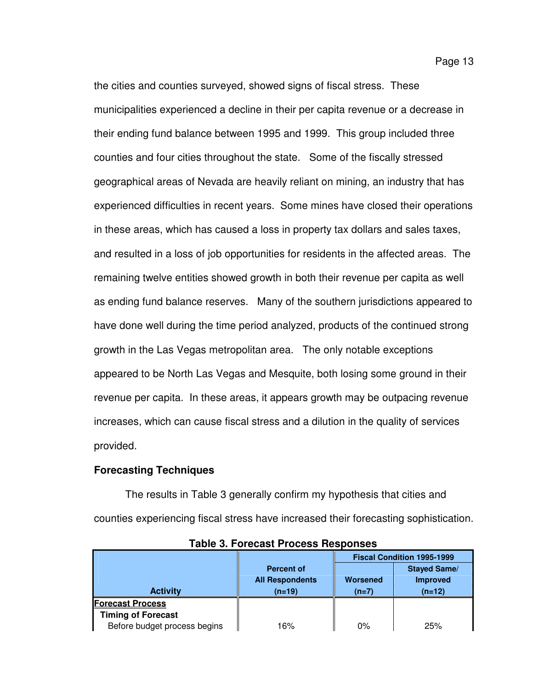the cities and counties surveyed, showed signs of fiscal stress. These municipalities experienced a decline in their per capita revenue or a decrease in their ending fund balance between 1995 and 1999. This group included three counties and four cities throughout the state. Some of the fiscally stressed geographical areas of Nevada are heavily reliant on mining, an industry that has experienced difficulties in recent years. Some mines have closed their operations in these areas, which has caused a loss in property tax dollars and sales taxes, and resulted in a loss of job opportunities for residents in the affected areas. The remaining twelve entities showed growth in both their revenue per capita as well as ending fund balance reserves. Many of the southern jurisdictions appeared to have done well during the time period analyzed, products of the continued strong growth in the Las Vegas metropolitan area. The only notable exceptions appeared to be North Las Vegas and Mesquite, both losing some ground in their revenue per capita. In these areas, it appears growth may be outpacing revenue increases, which can cause fiscal stress and a dilution in the quality of services provided.

#### **Forecasting Techniques**

The results in Table 3 generally confirm my hypothesis that cities and counties experiencing fiscal stress have increased their forecasting sophistication.

|                              |                        | <b>Fiscal Condition 1995-1999</b> |                     |  |
|------------------------------|------------------------|-----------------------------------|---------------------|--|
|                              | <b>Percent of</b>      |                                   | <b>Stayed Same/</b> |  |
|                              | <b>All Respondents</b> | Worsened                          | <b>Improved</b>     |  |
| <b>Activity</b>              | $(n=19)$               | $(n=7)$                           | $(n=12)$            |  |
| <b>Forecast Process</b>      |                        |                                   |                     |  |
| <b>Timing of Forecast</b>    |                        |                                   |                     |  |
| Before budget process begins | 16%                    | 0%                                | 25%                 |  |

**Table 3. Forecast Process Responses**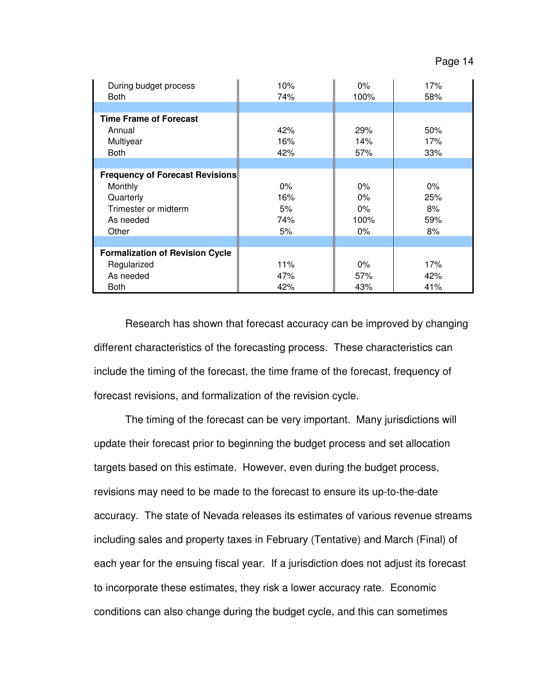| During budget process<br><b>Both</b>   | 10%<br>74% | $0\%$<br>100% | 17%<br>58% |
|----------------------------------------|------------|---------------|------------|
|                                        |            |               |            |
| <b>Time Frame of Forecast</b>          |            |               |            |
| Annual                                 | 42%        | 29%           | 50%        |
| Multiyear                              | 16%        | 14%           | 17%        |
| <b>Both</b>                            | 42%        | 57%           | 33%        |
|                                        |            |               |            |
| Frequency of Forecast Revisions        |            |               |            |
| Monthly                                | $0\%$      | $0\%$         | $0\%$      |
| Quarterly                              | 16%        | $0\%$         | 25%        |
| Trimester or midterm                   | 5%         | $0\%$         | 8%         |
| As needed                              | 74%        | 100%          | 59%        |
| Other                                  | 5%         | $0\%$         | 8%         |
|                                        |            |               |            |
| <b>Formalization of Revision Cycle</b> |            |               |            |
| Regularized                            | 11%        | $0\%$         | 17%        |
| As needed                              | 47%        | 57%           | 42%        |
| <b>Both</b>                            | 42%        | 43%           | 41%        |

Research has shown that forecast accuracy can be improved by changing different characteristics of the forecasting process. These characteristics can include the timing of the forecast, the time frame of the forecast, frequency of forecast revisions, and formalization of the revision cycle.

The timing of the forecast can be very important. Many jurisdictions will update their forecast prior to beginning the budget process and set allocation targets based on this estimate. However, even during the budget process, revisions may need to be made to the forecast to ensure its up-to-the-date accuracy. The state of Nevada releases its estimates of various revenue streams including sales and property taxes in February (Tentative) and March (Final) of each year for the ensuing fiscal year. If a jurisdiction does not adjust its forecast to incorporate these estimates, they risk a lower accuracy rate. Economic conditions can also change during the budget cycle, and this can sometimes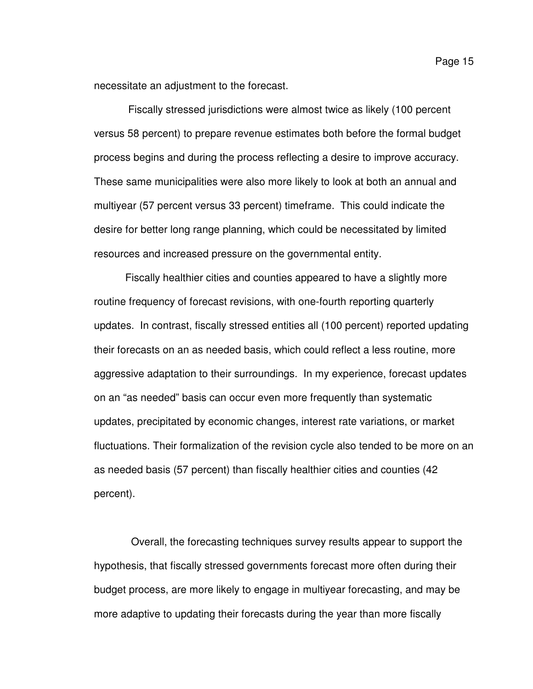necessitate an adjustment to the forecast.

 Fiscally stressed jurisdictions were almost twice as likely (100 percent versus 58 percent) to prepare revenue estimates both before the formal budget process begins and during the process reflecting a desire to improve accuracy. These same municipalities were also more likely to look at both an annual and multiyear (57 percent versus 33 percent) timeframe. This could indicate the desire for better long range planning, which could be necessitated by limited resources and increased pressure on the governmental entity.

Fiscally healthier cities and counties appeared to have a slightly more routine frequency of forecast revisions, with one-fourth reporting quarterly updates. In contrast, fiscally stressed entities all (100 percent) reported updating their forecasts on an as needed basis, which could reflect a less routine, more aggressive adaptation to their surroundings. In my experience, forecast updates on an "as needed" basis can occur even more frequently than systematic updates, precipitated by economic changes, interest rate variations, or market fluctuations. Their formalization of the revision cycle also tended to be more on an as needed basis (57 percent) than fiscally healthier cities and counties (42 percent).

 Overall, the forecasting techniques survey results appear to support the hypothesis, that fiscally stressed governments forecast more often during their budget process, are more likely to engage in multiyear forecasting, and may be more adaptive to updating their forecasts during the year than more fiscally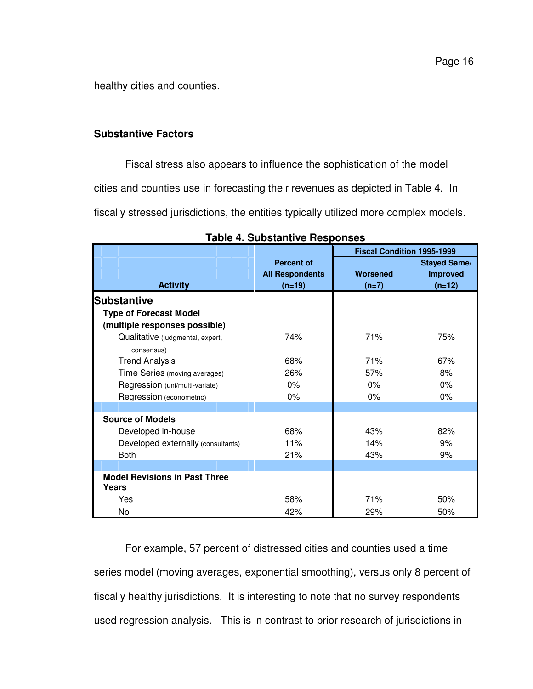Page 16

healthy cities and counties.

# **Substantive Factors**

Fiscal stress also appears to influence the sophistication of the model

cities and counties use in forecasting their revenues as depicted in Table 4. In

fiscally stressed jurisdictions, the entities typically utilized more complex models.

|                                               |                        | <b>Fiscal Condition 1995-1999</b> |                     |
|-----------------------------------------------|------------------------|-----------------------------------|---------------------|
|                                               | <b>Percent of</b>      |                                   | <b>Stayed Same/</b> |
|                                               | <b>All Respondents</b> | <b>Worsened</b>                   | <b>Improved</b>     |
| <b>Activity</b>                               | $(n=19)$               | $(n=7)$                           | $(n=12)$            |
| <b>Substantive</b>                            |                        |                                   |                     |
| <b>Type of Forecast Model</b>                 |                        |                                   |                     |
| (multiple responses possible)                 |                        |                                   |                     |
| Qualitative (judgmental, expert,              | 74%                    | 71%                               | 75%                 |
| consensus)                                    |                        |                                   |                     |
| <b>Trend Analysis</b>                         | 68%                    | 71%                               | 67%                 |
| Time Series (moving averages)                 | 26%                    | 57%                               | 8%                  |
| Regression (uni/multi-variate)                | $0\%$                  | 0%                                | $0\%$               |
| Regression (econometric)                      | 0%                     | $0\%$                             | $0\%$               |
|                                               |                        |                                   |                     |
| <b>Source of Models</b>                       |                        |                                   |                     |
| Developed in-house                            | 68%                    | 43%                               | 82%                 |
| Developed externally (consultants)            | 11%                    | 14%                               | 9%                  |
| <b>Both</b>                                   | 21%                    | 43%                               | 9%                  |
|                                               |                        |                                   |                     |
| <b>Model Revisions in Past Three</b><br>Years |                        |                                   |                     |
| Yes                                           | 58%                    | 71%                               | 50%                 |
|                                               |                        |                                   |                     |
| No                                            | 42%                    | 29%                               | 50%                 |

**Table 4. Substantive Responses** 

For example, 57 percent of distressed cities and counties used a time series model (moving averages, exponential smoothing), versus only 8 percent of fiscally healthy jurisdictions. It is interesting to note that no survey respondents used regression analysis. This is in contrast to prior research of jurisdictions in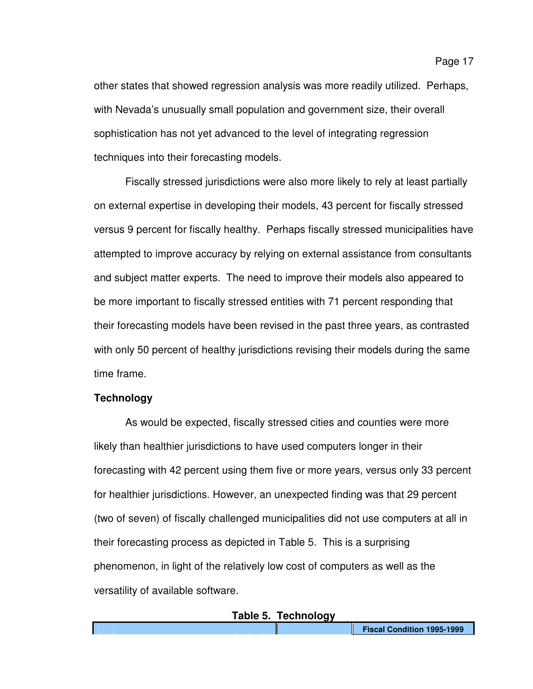other states that showed regression analysis was more readily utilized. Perhaps, with Nevada's unusually small population and government size, their overall sophistication has not yet advanced to the level of integrating regression techniques into their forecasting models.

Fiscally stressed jurisdictions were also more likely to rely at least partially on external expertise in developing their models, 43 percent for fiscally stressed versus 9 percent for fiscally healthy. Perhaps fiscally stressed municipalities have attempted to improve accuracy by relying on external assistance from consultants and subject matter experts. The need to improve their models also appeared to be more important to fiscally stressed entities with 71 percent responding that their forecasting models have been revised in the past three years, as contrasted with only 50 percent of healthy jurisdictions revising their models during the same time frame.

# **Technology**

As would be expected, fiscally stressed cities and counties were more likely than healthier jurisdictions to have used computers longer in their forecasting with 42 percent using them five or more years, versus only 33 percent for healthier jurisdictions. However, an unexpected finding was that 29 percent (two of seven) of fiscally challenged municipalities did not use computers at all in their forecasting process as depicted in Table 5. This is a surprising phenomenon, in light of the relatively low cost of computers as well as the versatility of available software.

#### **Table 5. Technology**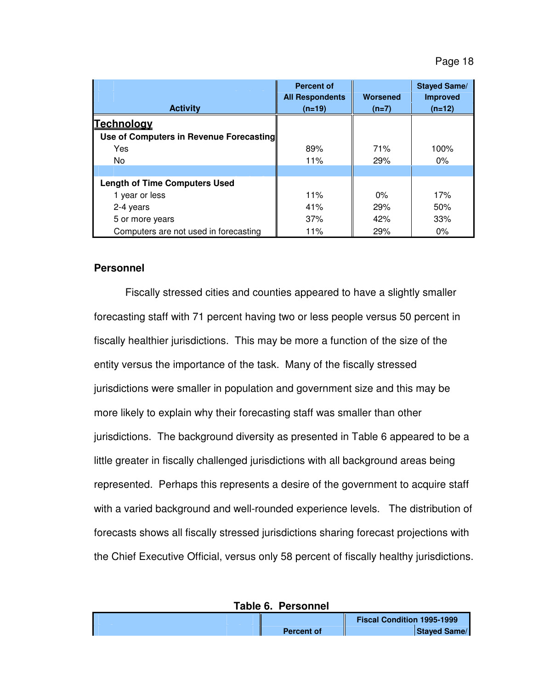Page 18

|                                         | <b>Percent of</b><br><b>All Respondents</b> | <b>Worsened</b> | <b>Stayed Same/</b><br><b>Improved</b> |
|-----------------------------------------|---------------------------------------------|-----------------|----------------------------------------|
| <b>Activity</b>                         | $(n=19)$                                    | $(n=7)$         | $(n=12)$                               |
| <b>Technology</b>                       |                                             |                 |                                        |
| Use of Computers in Revenue Forecasting |                                             |                 |                                        |
| Yes                                     | 89%                                         | 71%             | 100%                                   |
| No                                      | 11%                                         | 29%             | $0\%$                                  |
|                                         |                                             |                 |                                        |
| <b>Length of Time Computers Used</b>    |                                             |                 |                                        |
| 1 year or less                          | 11%                                         | 0%              | 17%                                    |
| 2-4 years                               | 41%                                         | 29%             | 50%                                    |
| 5 or more years                         | 37%                                         | 42%             | 33%                                    |
| Computers are not used in forecasting   | 11%                                         | 29%             | $0\%$                                  |

# **Personnel**

Fiscally stressed cities and counties appeared to have a slightly smaller forecasting staff with 71 percent having two or less people versus 50 percent in fiscally healthier jurisdictions. This may be more a function of the size of the entity versus the importance of the task. Many of the fiscally stressed jurisdictions were smaller in population and government size and this may be more likely to explain why their forecasting staff was smaller than other jurisdictions. The background diversity as presented in Table 6 appeared to be a little greater in fiscally challenged jurisdictions with all background areas being represented. Perhaps this represents a desire of the government to acquire staff with a varied background and well-rounded experience levels. The distribution of forecasts shows all fiscally stressed jurisdictions sharing forecast projections with the Chief Executive Official, versus only 58 percent of fiscally healthy jurisdictions.

| Table 6. Personnel |                                   |
|--------------------|-----------------------------------|
|                    | <b>Fiscal Condition 1995-1999</b> |
| <b>Percent of</b>  | <b>Staved Same/</b>               |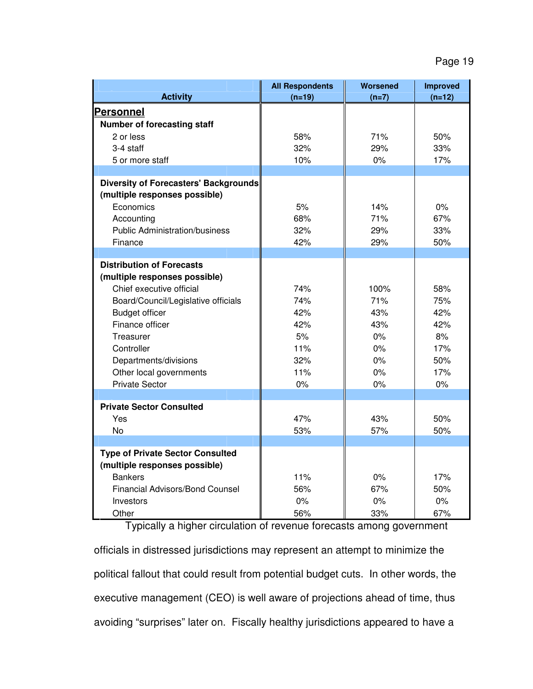| <b>Activity</b>                              | <b>All Respondents</b><br>$(n=19)$ | <b>Worsened</b><br>$(n=7)$ | <b>Improved</b><br>$(n=12)$ |
|----------------------------------------------|------------------------------------|----------------------------|-----------------------------|
| <b>Personnel</b>                             |                                    |                            |                             |
| <b>Number of forecasting staff</b>           |                                    |                            |                             |
| 2 or less                                    | 58%                                | 71%                        | 50%                         |
| 3-4 staff                                    | 32%                                | 29%                        | 33%                         |
| 5 or more staff                              | 10%                                | 0%                         | 17%                         |
|                                              |                                    |                            |                             |
| <b>Diversity of Forecasters' Backgrounds</b> |                                    |                            |                             |
| (multiple responses possible)                |                                    |                            |                             |
| Economics                                    | 5%                                 | 14%                        | 0%                          |
| Accounting                                   | 68%                                | 71%                        | 67%                         |
| <b>Public Administration/business</b>        | 32%                                | 29%                        | 33%                         |
| Finance                                      | 42%                                | 29%                        | 50%                         |
|                                              |                                    |                            |                             |
| <b>Distribution of Forecasts</b>             |                                    |                            |                             |
| (multiple responses possible)                |                                    |                            |                             |
| Chief executive official                     | 74%                                | 100%                       | 58%                         |
| Board/Council/Legislative officials          | 74%                                | 71%                        | 75%                         |
| <b>Budget officer</b>                        | 42%                                | 43%                        | 42%                         |
| Finance officer                              | 42%                                | 43%                        | 42%                         |
| Treasurer                                    | 5%                                 | $0\%$                      | 8%                          |
| Controller                                   | 11%                                | 0%                         | 17%                         |
| Departments/divisions                        | 32%                                | 0%                         | 50%                         |
| Other local governments                      | 11%                                | $0\%$                      | 17%                         |
| <b>Private Sector</b>                        | 0%                                 | $0\%$                      | 0%                          |
|                                              |                                    |                            |                             |
| <b>Private Sector Consulted</b>              |                                    |                            |                             |
| Yes                                          | 47%                                | 43%                        | 50%                         |
| <b>No</b>                                    | 53%                                | 57%                        | 50%                         |
|                                              |                                    |                            |                             |
| <b>Type of Private Sector Consulted</b>      |                                    |                            |                             |
| (multiple responses possible)                |                                    |                            |                             |
| <b>Bankers</b>                               | 11%                                | 0%                         | 17%                         |
| <b>Financial Advisors/Bond Counsel</b>       | 56%                                | 67%                        | 50%                         |
| Investors                                    | 0%                                 | 0%                         | 0%                          |
| Other                                        | 56%                                | 33%                        | 67%                         |

 Typically a higher circulation of revenue forecasts among government officials in distressed jurisdictions may represent an attempt to minimize the political fallout that could result from potential budget cuts. In other words, the executive management (CEO) is well aware of projections ahead of time, thus avoiding "surprises" later on. Fiscally healthy jurisdictions appeared to have a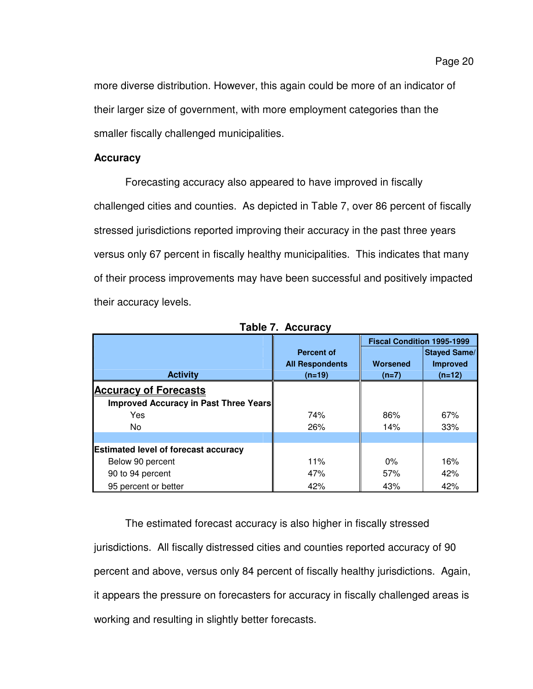more diverse distribution. However, this again could be more of an indicator of their larger size of government, with more employment categories than the smaller fiscally challenged municipalities.

# **Accuracy**

Forecasting accuracy also appeared to have improved in fiscally challenged cities and counties. As depicted in Table 7, over 86 percent of fiscally stressed jurisdictions reported improving their accuracy in the past three years versus only 67 percent in fiscally healthy municipalities. This indicates that many of their process improvements may have been successful and positively impacted their accuracy levels.

|                                             |                        | <b>Fiscal Condition 1995-1999</b> |                     |  |
|---------------------------------------------|------------------------|-----------------------------------|---------------------|--|
|                                             | <b>Percent of</b>      |                                   | <b>Stayed Same/</b> |  |
|                                             | <b>All Respondents</b> | <b>Worsened</b>                   | <b>Improved</b>     |  |
| <b>Activity</b>                             | $(n=19)$               | $(n=7)$                           | $(n=12)$            |  |
| <b>Accuracy of Forecasts</b>                |                        |                                   |                     |  |
| Improved Accuracy in Past Three Years       |                        |                                   |                     |  |
| Yes                                         | 74%                    | 86%                               | 67%                 |  |
| No                                          | 26%                    | 14%                               | 33%                 |  |
|                                             |                        |                                   |                     |  |
| <b>Estimated level of forecast accuracy</b> |                        |                                   |                     |  |
| Below 90 percent                            | 11%                    | $0\%$                             | 16%                 |  |
| 90 to 94 percent                            | 47%                    | 57%                               | 42%                 |  |
| 95 percent or better                        | 42%                    | 43%                               | 42%                 |  |

**Table 7. Accuracy** 

The estimated forecast accuracy is also higher in fiscally stressed jurisdictions. All fiscally distressed cities and counties reported accuracy of 90 percent and above, versus only 84 percent of fiscally healthy jurisdictions. Again, it appears the pressure on forecasters for accuracy in fiscally challenged areas is working and resulting in slightly better forecasts.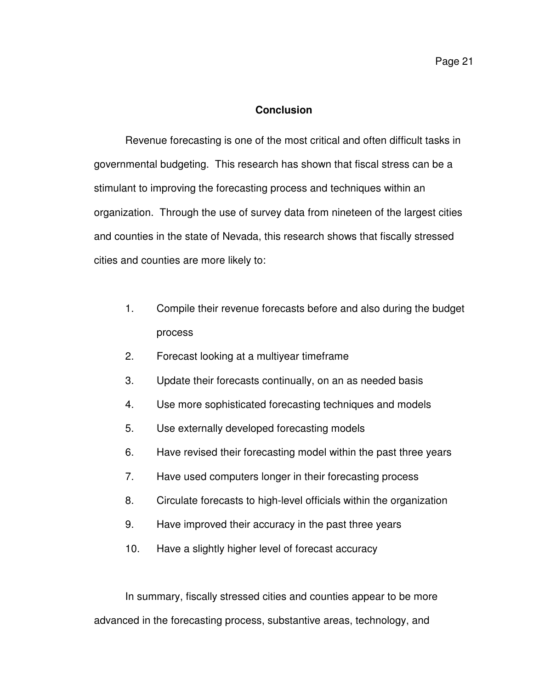## **Conclusion**

 Revenue forecasting is one of the most critical and often difficult tasks in governmental budgeting. This research has shown that fiscal stress can be a stimulant to improving the forecasting process and techniques within an organization. Through the use of survey data from nineteen of the largest cities and counties in the state of Nevada, this research shows that fiscally stressed cities and counties are more likely to:

- 1. Compile their revenue forecasts before and also during the budget process
- 2. Forecast looking at a multiyear timeframe
- 3. Update their forecasts continually, on an as needed basis
- 4. Use more sophisticated forecasting techniques and models
- 5. Use externally developed forecasting models
- 6. Have revised their forecasting model within the past three years
- 7. Have used computers longer in their forecasting process
- 8. Circulate forecasts to high-level officials within the organization
- 9. Have improved their accuracy in the past three years
- 10. Have a slightly higher level of forecast accuracy

 In summary, fiscally stressed cities and counties appear to be more advanced in the forecasting process, substantive areas, technology, and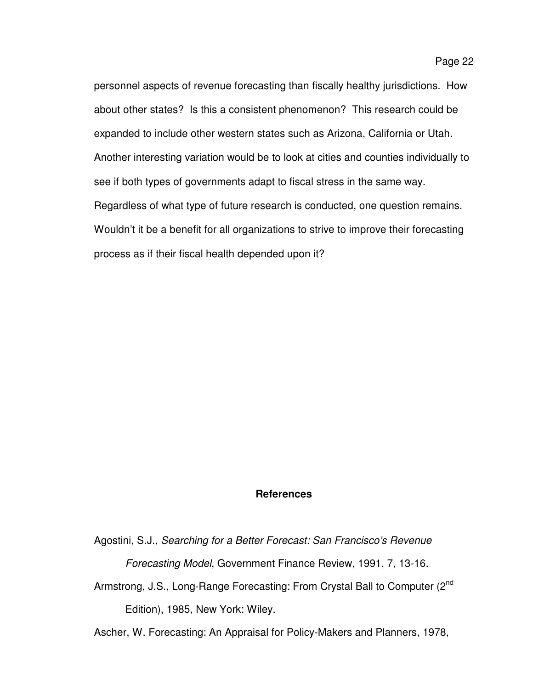personnel aspects of revenue forecasting than fiscally healthy jurisdictions. How about other states? Is this a consistent phenomenon? This research could be expanded to include other western states such as Arizona, California or Utah. Another interesting variation would be to look at cities and counties individually to see if both types of governments adapt to fiscal stress in the same way. Regardless of what type of future research is conducted, one question remains. Wouldn't it be a benefit for all organizations to strive to improve their forecasting process as if their fiscal health depended upon it?

# **References**

Agostini, S.J., Searching for a Better Forecast: San Francisco's Revenue

Forecasting Model, Government Finance Review, 1991, 7, 13-16.

Armstrong, J.S., Long-Range Forecasting: From Crystal Ball to Computer (2<sup>nd</sup> Edition), 1985, New York: Wiley.

Ascher, W. Forecasting: An Appraisal for Policy-Makers and Planners, 1978,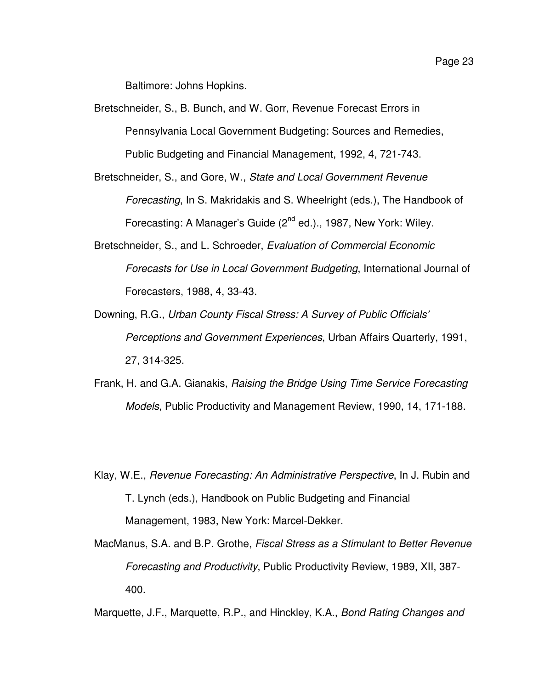Baltimore: Johns Hopkins.

Bretschneider, S., B. Bunch, and W. Gorr, Revenue Forecast Errors in Pennsylvania Local Government Budgeting: Sources and Remedies, Public Budgeting and Financial Management, 1992, 4, 721-743.

Bretschneider, S., and Gore, W., State and Local Government Revenue Forecasting, In S. Makridakis and S. Wheelright (eds.), The Handbook of Forecasting: A Manager's Guide (2<sup>nd</sup> ed.)., 1987, New York: Wiley.

- Bretschneider, S., and L. Schroeder, Evaluation of Commercial Economic Forecasts for Use in Local Government Budgeting, International Journal of Forecasters, 1988, 4, 33-43.
- Downing, R.G., Urban County Fiscal Stress: A Survey of Public Officials' Perceptions and Government Experiences, Urban Affairs Quarterly, 1991, 27, 314-325.
- Frank, H. and G.A. Gianakis, Raising the Bridge Using Time Service Forecasting Models, Public Productivity and Management Review, 1990, 14, 171-188.
- Klay, W.E., Revenue Forecasting: An Administrative Perspective, In J. Rubin and T. Lynch (eds.), Handbook on Public Budgeting and Financial Management, 1983, New York: Marcel-Dekker.
- MacManus, S.A. and B.P. Grothe, Fiscal Stress as a Stimulant to Better Revenue Forecasting and Productivity, Public Productivity Review, 1989, XII, 387- 400.

Marquette, J.F., Marquette, R.P., and Hinckley, K.A., Bond Rating Changes and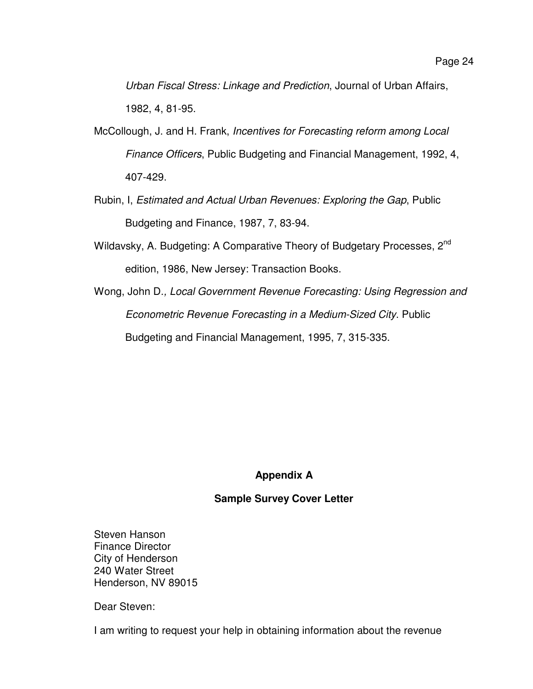Urban Fiscal Stress: Linkage and Prediction, Journal of Urban Affairs, 1982, 4, 81-95.

- McCollough, J. and H. Frank, Incentives for Forecasting reform among Local Finance Officers, Public Budgeting and Financial Management, 1992, 4, 407-429.
- Rubin, I, Estimated and Actual Urban Revenues: Exploring the Gap, Public Budgeting and Finance, 1987, 7, 83-94.
- Wildavsky, A. Budgeting: A Comparative Theory of Budgetary Processes, 2<sup>nd</sup> edition, 1986, New Jersey: Transaction Books.
- Wong, John D., Local Government Revenue Forecasting: Using Regression and Econometric Revenue Forecasting in a Medium-Sized City. Public Budgeting and Financial Management, 1995, 7, 315-335.

# **Appendix A**

# **Sample Survey Cover Letter**

Steven Hanson Finance Director City of Henderson 240 Water Street Henderson, NV 89015

Dear Steven:

I am writing to request your help in obtaining information about the revenue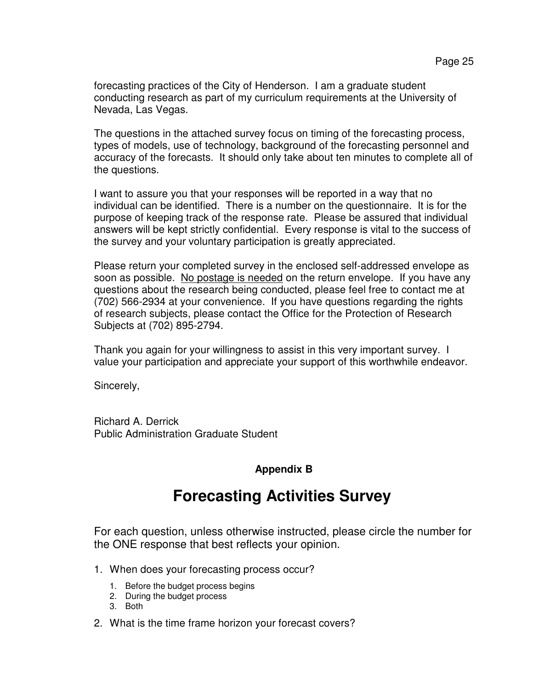forecasting practices of the City of Henderson. I am a graduate student conducting research as part of my curriculum requirements at the University of Nevada, Las Vegas.

The questions in the attached survey focus on timing of the forecasting process, types of models, use of technology, background of the forecasting personnel and accuracy of the forecasts. It should only take about ten minutes to complete all of the questions.

I want to assure you that your responses will be reported in a way that no individual can be identified. There is a number on the questionnaire. It is for the purpose of keeping track of the response rate. Please be assured that individual answers will be kept strictly confidential. Every response is vital to the success of the survey and your voluntary participation is greatly appreciated.

Please return your completed survey in the enclosed self-addressed envelope as soon as possible. No postage is needed on the return envelope. If you have any questions about the research being conducted, please feel free to contact me at (702) 566-2934 at your convenience. If you have questions regarding the rights of research subjects, please contact the Office for the Protection of Research Subjects at (702) 895-2794.

Thank you again for your willingness to assist in this very important survey. I value your participation and appreciate your support of this worthwhile endeavor.

Sincerely,

Richard A. Derrick Public Administration Graduate Student

# **Appendix B**

# **Forecasting Activities Survey**

For each question, unless otherwise instructed, please circle the number for the ONE response that best reflects your opinion.

- 1. When does your forecasting process occur?
	- 1. Before the budget process begins
	- 2. During the budget process
	- 3. Both
- 2. What is the time frame horizon your forecast covers?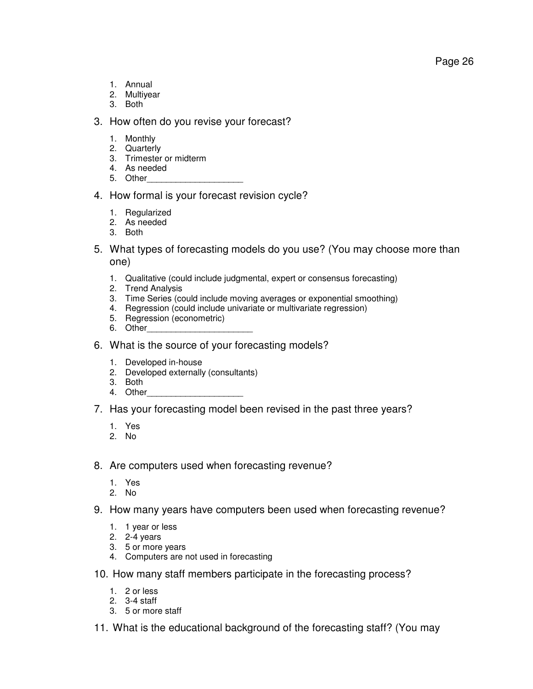- 1. Annual
- 2. Multiyear
- 3. Both

# 3. How often do you revise your forecast?

- 1. Monthly
- 2. Quarterly
- 3. Trimester or midterm
- 4. As needed
- 5. Other

# 4. How formal is your forecast revision cycle?

- 1. Regularized
- 2. As needed
- 3. Both
- 5. What types of forecasting models do you use? (You may choose more than one)
	- 1. Qualitative (could include judgmental, expert or consensus forecasting)
	- 2. Trend Analysis
	- 3. Time Series (could include moving averages or exponential smoothing)
	- 4. Regression (could include univariate or multivariate regression)
	- 5. Regression (econometric)
	- 6. Other
- 6. What is the source of your forecasting models?
	- 1. Developed in-house
	- 2. Developed externally (consultants)
	- 3. Both
	- 4. Other
- 7. Has your forecasting model been revised in the past three years?
	- 1. Yes
	- 2. No
- 8. Are computers used when forecasting revenue?
	- 1. Yes
	- 2. No
- 9. How many years have computers been used when forecasting revenue?
	- 1. 1 year or less
	- 2. 2-4 years
	- 3. 5 or more years
	- 4. Computers are not used in forecasting
- 10. How many staff members participate in the forecasting process?
	- 1. 2 or less
	- 2. 3-4 staff
	- 3. 5 or more staff
- 11. What is the educational background of the forecasting staff? (You may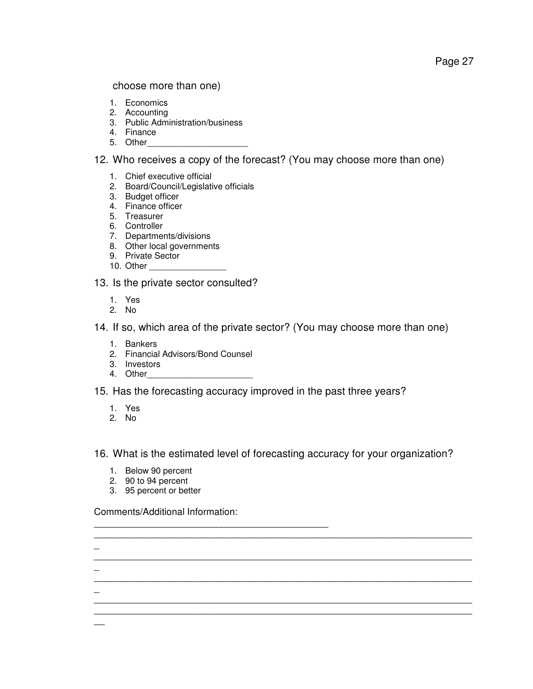Page 27

choose more than one)

- 1. Economics
- 2. Accounting
- 3. Public Administration/business
- 4. Finance
- 5. Other
- 12. Who receives a copy of the forecast? (You may choose more than one)
	- 1. Chief executive official
	- 2. Board/Council/Legislative officials
	- 3. Budget officer
	- 4. Finance officer
	- 5. Treasurer
	- 6. Controller
	- 7. Departments/divisions
	- 8. Other local governments
	- 9. Private Sector
	- 10. Other

13. Is the private sector consulted?

- 1. Yes
- 2. No

14. If so, which area of the private sector? (You may choose more than one)

- 1. Bankers
- 2. Financial Advisors/Bond Counsel
- 3. Investors
- 4. Other
- 15. Has the forecasting accuracy improved in the past three years?
	- 1. Yes
	- 2. No

 $\overline{a}$ 

 $\overline{a}$ 

 $\overline{a}$ 

 $\overline{\phantom{a}}$ 

16. What is the estimated level of forecasting accuracy for your organization?

\_\_\_\_\_\_\_\_\_\_\_\_\_\_\_\_\_\_\_\_\_\_\_\_\_\_\_\_\_\_\_\_\_\_\_\_\_\_\_\_\_\_\_\_\_\_\_\_\_\_\_\_\_\_\_\_\_\_\_\_\_\_\_\_\_\_\_\_\_\_\_

\_\_\_\_\_\_\_\_\_\_\_\_\_\_\_\_\_\_\_\_\_\_\_\_\_\_\_\_\_\_\_\_\_\_\_\_\_\_\_\_\_\_\_\_\_\_\_\_\_\_\_\_\_\_\_\_\_\_\_\_\_\_\_\_\_\_\_\_\_\_\_

\_\_\_\_\_\_\_\_\_\_\_\_\_\_\_\_\_\_\_\_\_\_\_\_\_\_\_\_\_\_\_\_\_\_\_\_\_\_\_\_\_\_\_\_\_\_\_\_\_\_\_\_\_\_\_\_\_\_\_\_\_\_\_\_\_\_\_\_\_\_\_

\_\_\_\_\_\_\_\_\_\_\_\_\_\_\_\_\_\_\_\_\_\_\_\_\_\_\_\_\_\_\_\_\_\_\_\_\_\_\_\_\_\_\_\_\_\_\_\_\_\_\_\_\_\_\_\_\_\_\_\_\_\_\_\_\_\_\_\_\_\_\_ \_\_\_\_\_\_\_\_\_\_\_\_\_\_\_\_\_\_\_\_\_\_\_\_\_\_\_\_\_\_\_\_\_\_\_\_\_\_\_\_\_\_\_\_\_\_\_\_\_\_\_\_\_\_\_\_\_\_\_\_\_\_\_\_\_\_\_\_\_\_\_

- 1. Below 90 percent
- 2. 90 to 94 percent
- 3. 95 percent or better

Comments/Additional Information:

\_\_\_\_\_\_\_\_\_\_\_\_\_\_\_\_\_\_\_\_\_\_\_\_\_\_\_\_\_\_\_\_\_\_\_\_\_\_\_\_\_\_\_\_